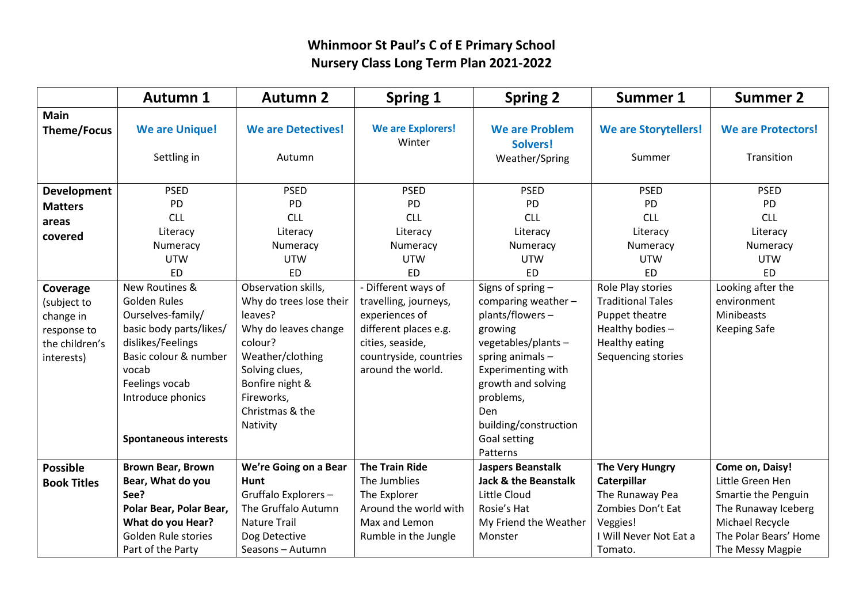## **Whinmoor St Paul's C of E Primary School Nursery Class Long Term Plan 2021-2022**

|                                                                                     | <b>Autumn 1</b>                                                                                                                                                                                              | <b>Autumn 2</b>                                                                                                                                                                                    | Spring 1                                                                                                                                                   | <b>Spring 2</b>                                                                                                                                                                                                                       | <b>Summer 1</b>                                                                                                                   | <b>Summer 2</b>                                                                                                                                   |
|-------------------------------------------------------------------------------------|--------------------------------------------------------------------------------------------------------------------------------------------------------------------------------------------------------------|----------------------------------------------------------------------------------------------------------------------------------------------------------------------------------------------------|------------------------------------------------------------------------------------------------------------------------------------------------------------|---------------------------------------------------------------------------------------------------------------------------------------------------------------------------------------------------------------------------------------|-----------------------------------------------------------------------------------------------------------------------------------|---------------------------------------------------------------------------------------------------------------------------------------------------|
| <b>Main</b><br><b>Theme/Focus</b>                                                   | <b>We are Unique!</b><br>Settling in                                                                                                                                                                         | <b>We are Detectives!</b><br>Autumn                                                                                                                                                                | <b>We are Explorers!</b><br>Winter                                                                                                                         | <b>We are Problem</b><br>Solvers!<br>Weather/Spring                                                                                                                                                                                   | <b>We are Storytellers!</b><br>Summer                                                                                             | <b>We are Protectors!</b><br>Transition                                                                                                           |
| <b>Development</b><br><b>Matters</b><br>areas<br>covered                            | <b>PSED</b><br>PD<br><b>CLL</b><br>Literacy<br>Numeracy<br><b>UTW</b><br><b>ED</b>                                                                                                                           | <b>PSED</b><br>PD<br><b>CLL</b><br>Literacy<br>Numeracy<br><b>UTW</b><br><b>ED</b>                                                                                                                 | <b>PSED</b><br><b>PD</b><br><b>CLL</b><br>Literacy<br>Numeracy<br><b>UTW</b><br><b>ED</b>                                                                  | <b>PSED</b><br><b>PD</b><br><b>CLL</b><br>Literacy<br>Numeracy<br><b>UTW</b><br><b>ED</b>                                                                                                                                             | <b>PSED</b><br><b>PD</b><br><b>CLL</b><br>Literacy<br>Numeracy<br><b>UTW</b><br><b>ED</b>                                         | <b>PSED</b><br><b>PD</b><br><b>CLL</b><br>Literacy<br>Numeracy<br><b>UTW</b><br><b>ED</b>                                                         |
| Coverage<br>(subject to<br>change in<br>response to<br>the children's<br>interests) | New Routines &<br>Golden Rules<br>Ourselves-family/<br>basic body parts/likes/<br>dislikes/Feelings<br>Basic colour & number<br>vocab<br>Feelings vocab<br>Introduce phonics<br><b>Spontaneous interests</b> | Observation skills,<br>Why do trees lose their<br>leaves?<br>Why do leaves change<br>colour?<br>Weather/clothing<br>Solving clues,<br>Bonfire night &<br>Fireworks,<br>Christmas & the<br>Nativity | - Different ways of<br>travelling, journeys,<br>experiences of<br>different places e.g.<br>cities, seaside,<br>countryside, countries<br>around the world. | Signs of spring -<br>comparing weather-<br>plants/flowers-<br>growing<br>vegetables/plants -<br>spring animals -<br>Experimenting with<br>growth and solving<br>problems,<br>Den<br>building/construction<br>Goal setting<br>Patterns | Role Play stories<br><b>Traditional Tales</b><br>Puppet theatre<br>Healthy bodies-<br><b>Healthy eating</b><br>Sequencing stories | Looking after the<br>environment<br>Minibeasts<br><b>Keeping Safe</b>                                                                             |
| <b>Possible</b><br><b>Book Titles</b>                                               | <b>Brown Bear, Brown</b><br>Bear, What do you<br>See?<br>Polar Bear, Polar Bear,<br>What do you Hear?<br>Golden Rule stories<br>Part of the Party                                                            | We're Going on a Bear<br>Hunt<br>Gruffalo Explorers-<br>The Gruffalo Autumn<br><b>Nature Trail</b><br>Dog Detective<br>Seasons - Autumn                                                            | <b>The Train Ride</b><br>The Jumblies<br>The Explorer<br>Around the world with<br>Max and Lemon<br>Rumble in the Jungle                                    | <b>Jaspers Beanstalk</b><br><b>Jack &amp; the Beanstalk</b><br>Little Cloud<br>Rosie's Hat<br>My Friend the Weather<br>Monster                                                                                                        | <b>The Very Hungry</b><br>Caterpillar<br>The Runaway Pea<br>Zombies Don't Eat<br>Veggies!<br>I Will Never Not Eat a<br>Tomato.    | Come on, Daisy!<br>Little Green Hen<br>Smartie the Penguin<br>The Runaway Iceberg<br>Michael Recycle<br>The Polar Bears' Home<br>The Messy Magpie |